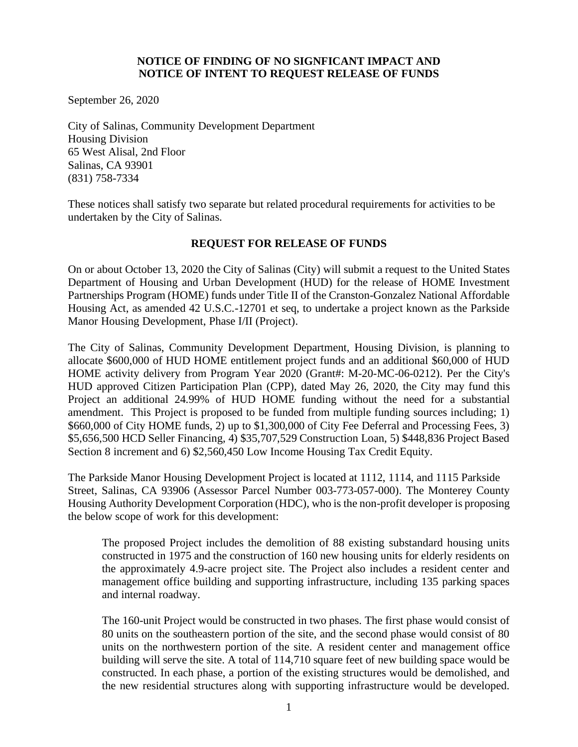### **NOTICE OF FINDING OF NO SIGNFICANT IMPACT AND NOTICE OF INTENT TO REQUEST RELEASE OF FUNDS**

September 26, 2020

City of Salinas, Community Development Department Housing Division 65 West Alisal, 2nd Floor Salinas, CA 93901 (831) 758-7334

These notices shall satisfy two separate but related procedural requirements for activities to be undertaken by the City of Salinas.

## **REQUEST FOR RELEASE OF FUNDS**

On or about October 13, 2020 the City of Salinas (City) will submit a request to the United States Department of Housing and Urban Development (HUD) for the release of HOME Investment Partnerships Program (HOME) funds under Title II of the Cranston-Gonzalez National Affordable Housing Act, as amended 42 U.S.C.-12701 et seq, to undertake a project known as the Parkside Manor Housing Development, Phase I/II (Project).

The City of Salinas, Community Development Department, Housing Division, is planning to allocate \$600,000 of HUD HOME entitlement project funds and an additional \$60,000 of HUD HOME activity delivery from Program Year 2020 (Grant#: M-20-MC-06-0212). Per the City's HUD approved Citizen Participation Plan (CPP), dated May 26, 2020, the City may fund this Project an additional 24.99% of HUD HOME funding without the need for a substantial amendment. This Project is proposed to be funded from multiple funding sources including; 1) \$660,000 of City HOME funds, 2) up to \$1,300,000 of City Fee Deferral and Processing Fees, 3) \$5,656,500 HCD Seller Financing, 4) \$35,707,529 Construction Loan, 5) \$448,836 Project Based Section 8 increment and 6) \$2,560,450 Low Income Housing Tax Credit Equity.

The Parkside Manor Housing Development Project is located at 1112, 1114, and 1115 Parkside Street, Salinas, CA 93906 (Assessor Parcel Number 003-773-057-000). The Monterey County Housing Authority Development Corporation (HDC), who is the non-profit developer is proposing the below scope of work for this development:

The proposed Project includes the demolition of 88 existing substandard housing units constructed in 1975 and the construction of 160 new housing units for elderly residents on the approximately 4.9-acre project site. The Project also includes a resident center and management office building and supporting infrastructure, including 135 parking spaces and internal roadway.

The 160-unit Project would be constructed in two phases. The first phase would consist of 80 units on the southeastern portion of the site, and the second phase would consist of 80 units on the northwestern portion of the site. A resident center and management office building will serve the site. A total of 114,710 square feet of new building space would be constructed. In each phase, a portion of the existing structures would be demolished, and the new residential structures along with supporting infrastructure would be developed.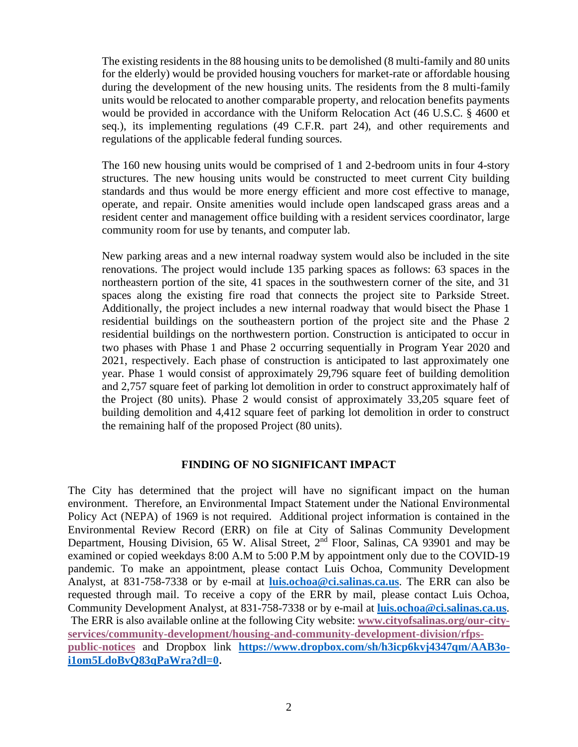The existing residents in the 88 housing units to be demolished (8 multi-family and 80 units for the elderly) would be provided housing vouchers for market-rate or affordable housing during the development of the new housing units. The residents from the 8 multi-family units would be relocated to another comparable property, and relocation benefits payments would be provided in accordance with the Uniform Relocation Act (46 U.S.C. § 4600 et seq.), its implementing regulations (49 C.F.R. part 24), and other requirements and regulations of the applicable federal funding sources.

The 160 new housing units would be comprised of 1 and 2-bedroom units in four 4-story structures. The new housing units would be constructed to meet current City building standards and thus would be more energy efficient and more cost effective to manage, operate, and repair. Onsite amenities would include open landscaped grass areas and a resident center and management office building with a resident services coordinator, large community room for use by tenants, and computer lab.

New parking areas and a new internal roadway system would also be included in the site renovations. The project would include 135 parking spaces as follows: 63 spaces in the northeastern portion of the site, 41 spaces in the southwestern corner of the site, and 31 spaces along the existing fire road that connects the project site to Parkside Street. Additionally, the project includes a new internal roadway that would bisect the Phase 1 residential buildings on the southeastern portion of the project site and the Phase 2 residential buildings on the northwestern portion. Construction is anticipated to occur in two phases with Phase 1 and Phase 2 occurring sequentially in Program Year 2020 and 2021, respectively. Each phase of construction is anticipated to last approximately one year. Phase 1 would consist of approximately 29,796 square feet of building demolition and 2,757 square feet of parking lot demolition in order to construct approximately half of the Project (80 units). Phase 2 would consist of approximately 33,205 square feet of building demolition and 4,412 square feet of parking lot demolition in order to construct the remaining half of the proposed Project (80 units).

## **FINDING OF NO SIGNIFICANT IMPACT**

The City has determined that the project will have no significant impact on the human environment. Therefore, an Environmental Impact Statement under the National Environmental Policy Act (NEPA) of 1969 is not required. Additional project information is contained in the Environmental Review Record (ERR) on file at City of Salinas Community Development Department, Housing Division, 65 W. Alisal Street, 2<sup>nd</sup> Floor, Salinas, CA 93901 and may be examined or copied weekdays 8:00 A.M to 5:00 P.M by appointment only due to the COVID-19 pandemic. To make an appointment, please contact Luis Ochoa, Community Development Analyst, at 831-758-7338 or by e-mail at **[luis.ochoa@ci.salinas.ca.us](mailto:luis.ochoa@ci.salinas.ca.us)**. The ERR can also be requested through mail. To receive a copy of the ERR by mail, please contact Luis Ochoa, Community Development Analyst, at 831-758-7338 or by e-mail at **[luis.ochoa@ci.salinas.ca.us](mailto:luis.ochoa@ci.salinas.ca.us)**. The ERR is also available online at the following City website: **[www.cityofsalinas.org/our-city](http://www.cityofsalinas.org/our-city-services/community-development/housing-and-community-development-division/rfps-public-notices)[services/community-development/housing-and-community-development-division/rfps](http://www.cityofsalinas.org/our-city-services/community-development/housing-and-community-development-division/rfps-public-notices)[public-notices](http://www.cityofsalinas.org/our-city-services/community-development/housing-and-community-development-division/rfps-public-notices)** and Dropbox link **[https://www.dropbox.com/sh/h3icp6kvj4347qm/AAB3o](https://www.dropbox.com/sh/h3icp6kvj4347qm/AAB3o-i1om5LdoBvQ83qPaWra?dl=0)[i1om5LdoBvQ83qPaWra?dl=0](https://www.dropbox.com/sh/h3icp6kvj4347qm/AAB3o-i1om5LdoBvQ83qPaWra?dl=0).**